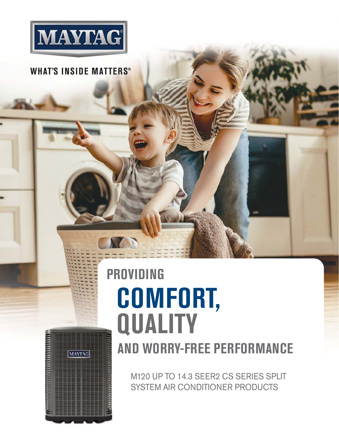

## **WHAT'S INSIDE MATTERS®**

**MAYTAG** 

## **COMFORT, QUALITY PROVIDING AND WORRY-FREE PERFORMANCE**

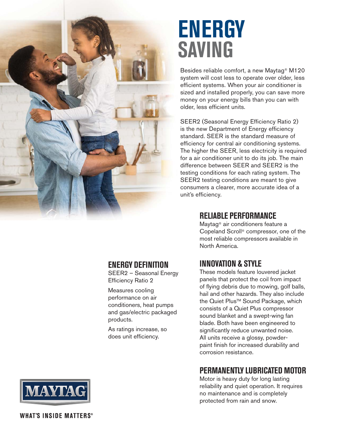

## **ENERGY SAVING**

Besides reliable comfort, a new Maytag® M120 system will cost less to operate over older, less efficient systems. When your air conditioner is sized and installed properly, you can save more money on your energy bills than you can with older, less efficient units.

SEER2 (Seasonal Energy Efficiency Ratio 2) is the new Department of Energy efficiency standard. SEER is the standard measure of efficiency for central air conditioning systems. The higher the SEER, less electricity is required for a air conditioner unit to do its job. The main difference between SEER and SEER2 is the testing conditions for each rating system. The SEER2 testing conditions are meant to give consumers a clearer, more accurate idea of a unit's efficiency.

#### **RELIABLE PERFORMANCE**

Maytag® air conditioners feature a Copeland Scroll® compressor, one of the most reliable compressors available in North America.

## **INNOVATION & STYLE**

**ENERGY DEFINITION**  SEER2 – Seasonal Energy

As ratings increase, so does unit efficiency.

Efficiency Ratio 2 Measures cooling performance on air conditioners, heat pumps and gas/electric packaged

products.

These models feature louvered jacket panels that protect the coil from impact of flying debris due to mowing, golf balls, hail and other hazards. They also include the Quiet Plus<sup>™</sup> Sound Package, which consists of a Quiet Plus compressor sound blanket and a swept-wing fan blade. Both have been engineered to significantly reduce unwanted noise. All units receive a glossy, powderpaint finish for increased durability and corrosion resistance.

## **PERMANENTLY LUBRICATED MOTOR**

Motor is heavy duty for long lasting reliability and quiet operation. It requires no maintenance and is completely protected from rain and snow.



**WHAT'S INSIDE MATTERS®**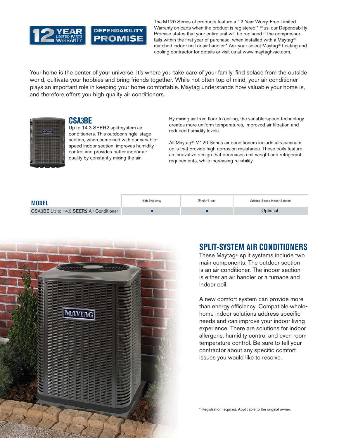

The M120 Series of products feature a 12 Year Worry-Free Limited Warranty on parts when the product is registered.\* Plus, our Dependability Promise states that your entire unit will be replaced if the compressor fails within the first year of purchase, when installed with a Maytag® matched indoor coil or air handler.\* Ask your select Maytag® heating and cooling contractor for details or visit us at www.maytaghvac.com.

Your home is the center of your universe. It's where you take care of your family, find solace from the outside world, cultivate your hobbies and bring friends together. While not often top of mind, your air conditioner plays an important role in keeping your home comfortable. Maytag understands how valuable your home is, and therefore offers you high quality air conditioners.



#### **CSA3BE**

Up to 14.3 SEER2 split-system air conditioners. This outdoor single-stage section, when combined with our variablespeed indoor section, improves humidity control and provides better indoor air quality by constantly mixing the air.

By mixing air from floor to ceiling, the variable-speed technology creates more uniform temperatures, improved air filtration and reduced humidity levels.

All Maytag® M120 Series air conditioners include all-aluminum coils that provide high corrosion resistance. These coils feature an innovative design that decreases unit weight and refrigerant requirements, while increasing reliability.

| <b>MODEL</b>                            | <b>High Efficiency</b> | Single-Stage | Variable-Speed Indoor Section |
|-----------------------------------------|------------------------|--------------|-------------------------------|
| CSA3BE Up to 14.3 SEER2 Air Conditioner |                        |              | Optional                      |



## **SPLIT-SYSTEM AIR CONDITIONERS**

These Maytag® split systems include two main components. The outdoor section is an air conditioner. The indoor section is either an air handler or a furnace and indoor coil.

A new comfort system can provide more than energy efficiency. Compatible wholehome indoor solutions address specific needs and can improve your indoor living experience. There are solutions for indoor allergens, humidity control and even room temperature control. Be sure to tell your contractor about any specific comfort issues you would like to resolve.